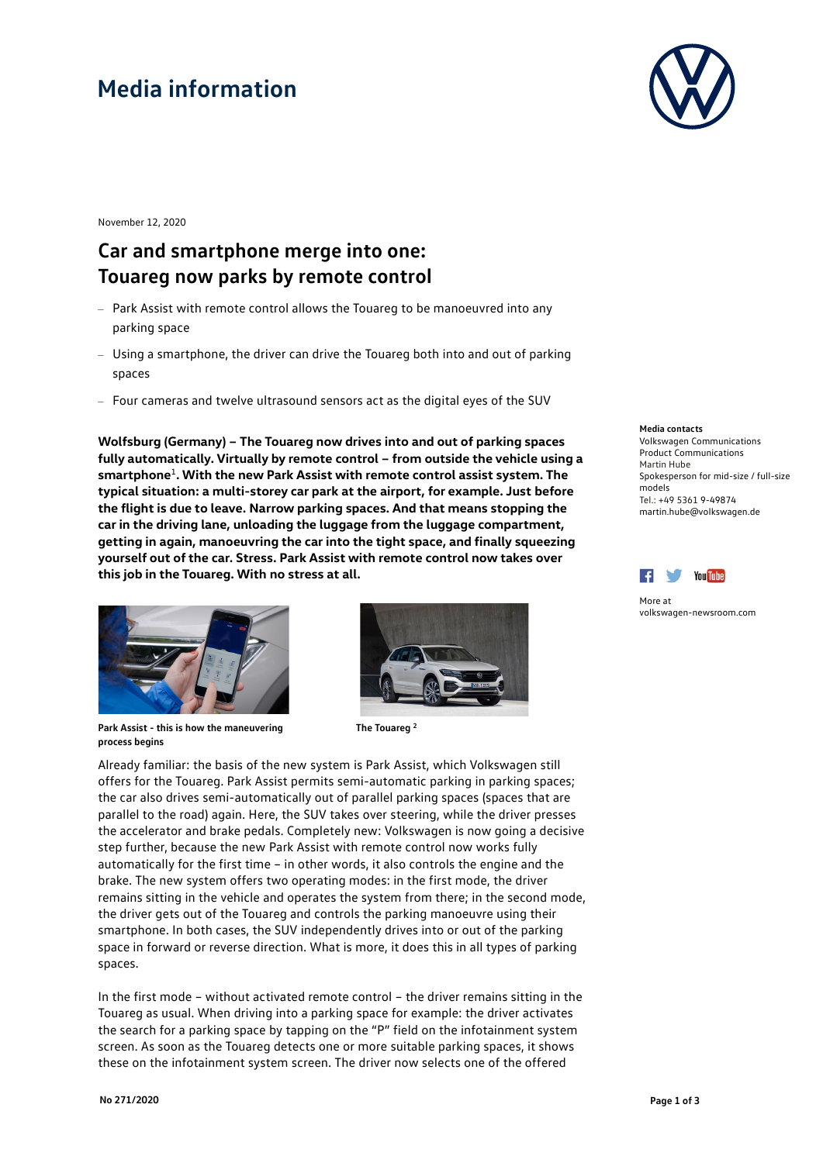# **Media information**



November 12, 2020

### **Car and smartphone merge into one: Touareg now parks by remote control**

- Park Assist with remote control allows the Touareg to be manoeuvred into any parking space
- Using a smartphone, the driver can drive the Touareg both into and out of parking spaces
- Four cameras and twelve ultrasound sensors act as the digital eyes of the SUV

**Wolfsburg (Germany) – The Touareg now drives into and out of parking spaces fully automatically. Virtually by remote control – from outside the vehicle using a smartphone**<sup>1</sup>**. With the new Park Assist with remote control assist system. The typical situation: a multi-storey car park at the airport, for example. Just before the flight is due to leave. Narrow parking spaces. And that means stopping the car in the driving lane, unloading the luggage from the luggage compartment, getting in again, manoeuvring the car into the tight space, and finally squeezing yourself out of the car. Stress. Park Assist with remote control now takes over this job in the Touareg. With no stress at all.**



**Park Assist - this is how the maneuvering process begins**



**The Touareg <sup>2</sup>**

Already familiar: the basis of the new system is Park Assist, which Volkswagen still offers for the Touareg. Park Assist permits semi-automatic parking in parking spaces; the car also drives semi-automatically out of parallel parking spaces (spaces that are parallel to the road) again. Here, the SUV takes over steering, while the driver presses the accelerator and brake pedals. Completely new: Volkswagen is now going a decisive step further, because the new Park Assist with remote control now works fully automatically for the first time – in other words, it also controls the engine and the brake. The new system offers two operating modes: in the first mode, the driver remains sitting in the vehicle and operates the system from there; in the second mode, the driver gets out of the Touareg and controls the parking manoeuvre using their smartphone. In both cases, the SUV independently drives into or out of the parking space in forward or reverse direction. What is more, it does this in all types of parking spaces.

In the first mode – without activated remote control – the driver remains sitting in the Touareg as usual. When driving into a parking space for example: the driver activates the search for a parking space by tapping on the "P" field on the infotainment system screen. As soon as the Touareg detects one or more suitable parking spaces, it shows these on the infotainment system screen. The driver now selects one of the offered

#### **Media contacts**

Volkswagen Communications Product Communications Martin Hube Spokesperson for mid-size / full-size models Tel.: +49 5361 9-49874 martin.hube@volkswagen.de



More at [volkswagen-newsroom.com](https://www.volkswagen-media-services.com/)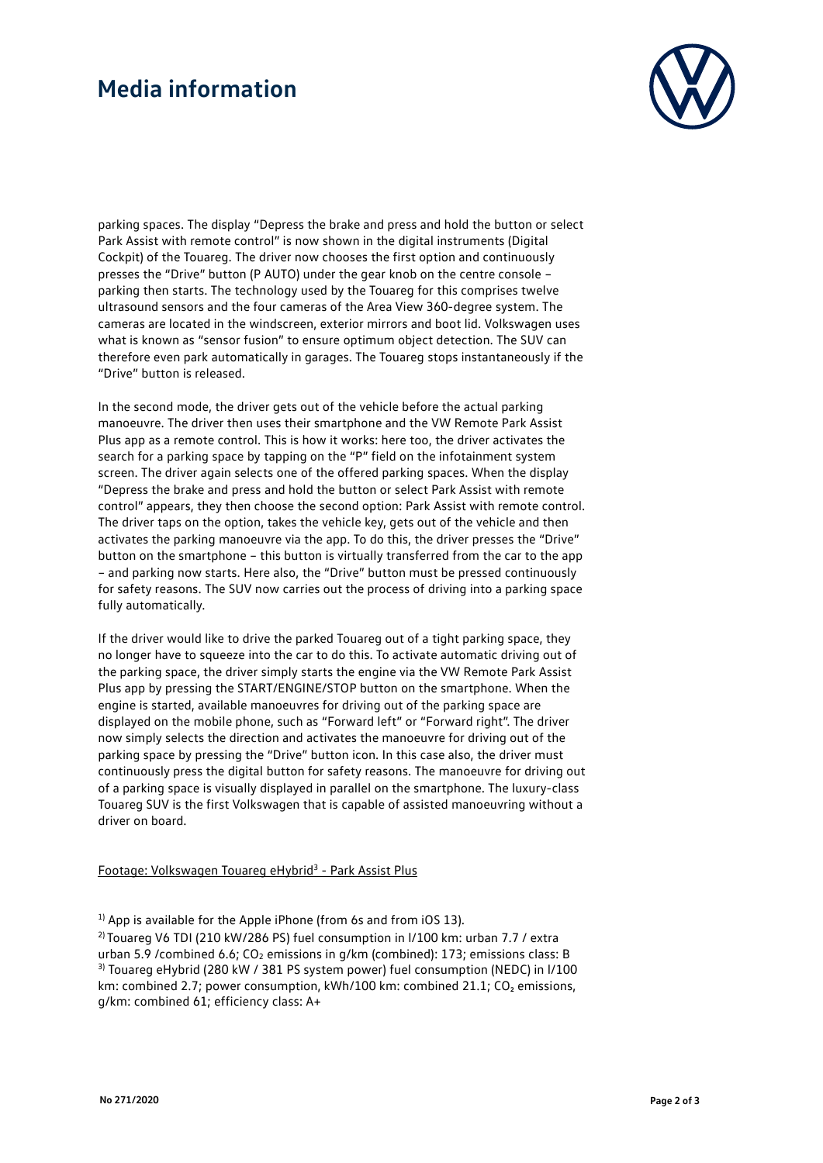## **Media information**



parking spaces. The display "Depress the brake and press and hold the button or select Park Assist with remote control" is now shown in the digital instruments (Digital Cockpit) of the Touareg. The driver now chooses the first option and continuously presses the "Drive" button (P AUTO) under the gear knob on the centre console – parking then starts. The technology used by the Touareg for this comprises twelve ultrasound sensors and the four cameras of the Area View 360-degree system. The cameras are located in the windscreen, exterior mirrors and boot lid. Volkswagen uses what is known as "sensor fusion" to ensure optimum object detection. The SUV can therefore even park automatically in garages. The Touareg stops instantaneously if the "Drive" button is released.

In the second mode, the driver gets out of the vehicle before the actual parking manoeuvre. The driver then uses their smartphone and the VW Remote Park Assist Plus app as a remote control. This is how it works: here too, the driver activates the search for a parking space by tapping on the "P" field on the infotainment system screen. The driver again selects one of the offered parking spaces. When the display "Depress the brake and press and hold the button or select Park Assist with remote control" appears, they then choose the second option: Park Assist with remote control. The driver taps on the option, takes the vehicle key, gets out of the vehicle and then activates the parking manoeuvre via the app. To do this, the driver presses the "Drive" button on the smartphone – this button is virtually transferred from the car to the app – and parking now starts. Here also, the "Drive" button must be pressed continuously for safety reasons. The SUV now carries out the process of driving into a parking space fully automatically.

If the driver would like to drive the parked Touareg out of a tight parking space, they no longer have to squeeze into the car to do this. To activate automatic driving out of the parking space, the driver simply starts the engine via the VW Remote Park Assist Plus app by pressing the START/ENGINE/STOP button on the smartphone. When the engine is started, available manoeuvres for driving out of the parking space are displayed on the mobile phone, such as "Forward left" or "Forward right". The driver now simply selects the direction and activates the manoeuvre for driving out of the parking space by pressing the "Drive" button icon. In this case also, the driver must continuously press the digital button for safety reasons. The manoeuvre for driving out of a parking space is visually displayed in parallel on the smartphone. The luxury-class Touareg SUV is the first Volkswagen that is capable of assisted manoeuvring without a driver on board.

#### Footage: Volkswagen Touareg eHybrid<sup>3</sup> - Park Assist Plus

<sup>2)</sup> Touareg V6 TDI (210 kW/286 PS) fuel consumption in I/100 km: urban 7.7 / extra urban 5.9 /combined 6.6; CO<sub>2</sub> emissions in g/km (combined): 173; emissions class: B <sup>3)</sup> Touareg eHybrid (280 kW / 381 PS system power) fuel consumption (NEDC) in I/100 km: combined 2.7; power consumption, kWh/100 km: combined 21.1; CO<sub>2</sub> emissions, g/km: combined 61; efficiency class: A+

 $<sup>1</sup>$  App is available for the Apple iPhone (from 6s and from iOS 13).</sup>